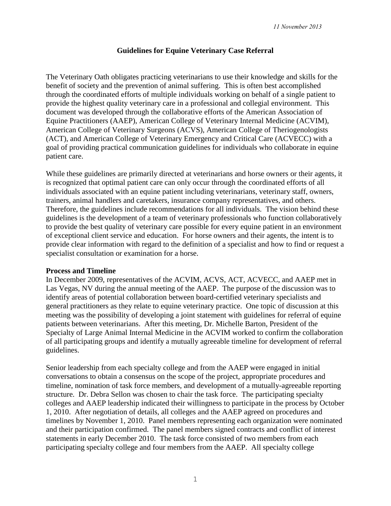### **Guidelines for Equine Veterinary Case Referral**

The Veterinary Oath obligates practicing veterinarians to use their knowledge and skills for the benefit of society and the prevention of animal suffering. This is often best accomplished through the coordinated efforts of multiple individuals working on behalf of a single patient to provide the highest quality veterinary care in a professional and collegial environment. This document was developed through the collaborative efforts of the American Association of Equine Practitioners (AAEP), American College of Veterinary Internal Medicine (ACVIM), American College of Veterinary Surgeons (ACVS), American College of Theriogenologists (ACT), and American College of Veterinary Emergency and Critical Care (ACVECC) with a goal of providing practical communication guidelines for individuals who collaborate in equine patient care.

While these guidelines are primarily directed at veterinarians and horse owners or their agents, it is recognized that optimal patient care can only occur through the coordinated efforts of all individuals associated with an equine patient including veterinarians, veterinary staff, owners, trainers, animal handlers and caretakers, insurance company representatives, and others. Therefore, the guidelines include recommendations for all individuals. The vision behind these guidelines is the development of a team of veterinary professionals who function collaboratively to provide the best quality of veterinary care possible for every equine patient in an environment of exceptional client service and education. For horse owners and their agents, the intent is to provide clear information with regard to the definition of a specialist and how to find or request a specialist consultation or examination for a horse.

### **Process and Timeline**

In December 2009, representatives of the ACVIM, ACVS, ACT, ACVECC, and AAEP met in Las Vegas, NV during the annual meeting of the AAEP. The purpose of the discussion was to identify areas of potential collaboration between board-certified veterinary specialists and general practitioners as they relate to equine veterinary practice. One topic of discussion at this meeting was the possibility of developing a joint statement with guidelines for referral of equine patients between veterinarians. After this meeting, Dr. Michelle Barton, President of the Specialty of Large Animal Internal Medicine in the ACVIM worked to confirm the collaboration of all participating groups and identify a mutually agreeable timeline for development of referral guidelines.

Senior leadership from each specialty college and from the AAEP were engaged in initial conversations to obtain a consensus on the scope of the project, appropriate procedures and timeline, nomination of task force members, and development of a mutually-agreeable reporting structure. Dr. Debra Sellon was chosen to chair the task force. The participating specialty colleges and AAEP leadership indicated their willingness to participate in the process by October 1, 2010. After negotiation of details, all colleges and the AAEP agreed on procedures and timelines by November 1, 2010. Panel members representing each organization were nominated and their participation confirmed. The panel members signed contracts and conflict of interest statements in early December 2010. The task force consisted of two members from each participating specialty college and four members from the AAEP. All specialty college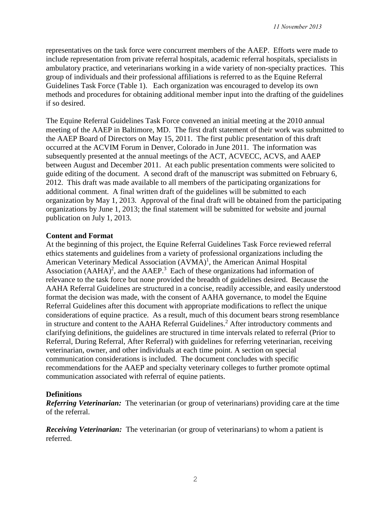representatives on the task force were concurrent members of the AAEP. Efforts were made to include representation from private referral hospitals, academic referral hospitals, specialists in ambulatory practice, and veterinarians working in a wide variety of non-specialty practices. This group of individuals and their professional affiliations is referred to as the Equine Referral Guidelines Task Force (Table 1). Each organization was encouraged to develop its own methods and procedures for obtaining additional member input into the drafting of the guidelines if so desired.

The Equine Referral Guidelines Task Force convened an initial meeting at the 2010 annual meeting of the AAEP in Baltimore, MD. The first draft statement of their work was submitted to the AAEP Board of Directors on May 15, 2011. The first public presentation of this draft occurred at the ACVIM Forum in Denver, Colorado in June 2011. The information was subsequently presented at the annual meetings of the ACT, ACVECC, ACVS, and AAEP between August and December 2011. At each public presentation comments were solicited to guide editing of the document. A second draft of the manuscript was submitted on February 6, 2012. This draft was made available to all members of the participating organizations for additional comment. A final written draft of the guidelines will be submitted to each organization by May 1, 2013. Approval of the final draft will be obtained from the participating organizations by June 1, 2013; the final statement will be submitted for website and journal publication on July 1, 2013.

### **Content and Format**

At the beginning of this project, the Equine Referral Guidelines Task Force reviewed referral ethics statements and guidelines from a variety of professional organizations including the American Veterinary Medical Association (AVMA)<sup>1</sup>, the American Animal Hospital Association  $(AAHA)^2$ , and the  $AAEP$ <sup>3</sup> Each of these organizations had information of relevance to the task force but none provided the breadth of guidelines desired. Because the AAHA Referral Guidelines are structured in a concise, readily accessible, and easily understood format the decision was made, with the consent of AAHA governance, to model the Equine Referral Guidelines after this document with appropriate modifications to reflect the unique considerations of equine practice. As a result, much of this document bears strong resemblance in structure and content to the AAHA Referral Guidelines. <sup>2</sup> After introductory comments and clarifying definitions, the guidelines are structured in time intervals related to referral (Prior to Referral, During Referral, After Referral) with guidelines for referring veterinarian, receiving veterinarian, owner, and other individuals at each time point. A section on special communication considerations is included. The document concludes with specific recommendations for the AAEP and specialty veterinary colleges to further promote optimal communication associated with referral of equine patients.

### **Definitions**

*Referring Veterinarian:* The veterinarian (or group of veterinarians) providing care at the time of the referral.

*Receiving Veterinarian:* The veterinarian (or group of veterinarians) to whom a patient is referred.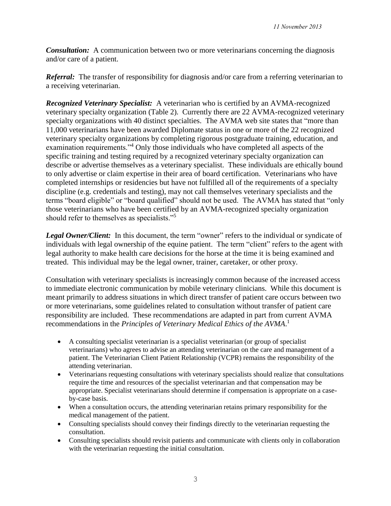*Consultation:* A communication between two or more veterinarians concerning the diagnosis and/or care of a patient.

*Referral:* The transfer of responsibility for diagnosis and/or care from a referring veterinarian to a receiving veterinarian.

*Recognized Veterinary Specialist:*A veterinarian who is certified by an AVMA-recognized veterinary specialty organization (Table 2). Currently there are 22 AVMA-recognized veterinary specialty organizations with 40 distinct specialties. The AVMA web site states that "more than 11,000 veterinarians have been awarded Diplomate status in one or more of the 22 recognized veterinary specialty organizations by completing rigorous postgraduate training, education, and examination requirements."<sup>4</sup> Only those individuals who have completed all aspects of the specific training and testing required by a recognized veterinary specialty organization can describe or advertise themselves as a veterinary specialist. These individuals are ethically bound to only advertise or claim expertise in their area of board certification. Veterinarians who have completed internships or residencies but have not fulfilled all of the requirements of a specialty discipline (e.g. credentials and testing), may not call themselves veterinary specialists and the terms "board eligible" or "board qualified" should not be used. The AVMA has stated that "only those veterinarians who have been certified by an AVMA-recognized specialty organization should refer to themselves as specialists."<sup>5</sup>

*Legal Owner/Client:* In this document, the term "owner" refers to the individual or syndicate of individuals with legal ownership of the equine patient. The term "client" refers to the agent with legal authority to make health care decisions for the horse at the time it is being examined and treated. This individual may be the legal owner, trainer, caretaker, or other proxy.

Consultation with veterinary specialists is increasingly common because of the increased access to immediate electronic communication by mobile veterinary clinicians. While this document is meant primarily to address situations in which direct transfer of patient care occurs between two or more veterinarians, some guidelines related to consultation without transfer of patient care responsibility are included. These recommendations are adapted in part from current AVMA recommendations in the *Principles of Veterinary Medical Ethics of the AVMA*. 1

- A consulting specialist veterinarian is a specialist veterinarian (or group of specialist veterinarians) who agrees to advise an attending veterinarian on the care and management of a patient. The Veterinarian Client Patient Relationship (VCPR) remains the responsibility of the attending veterinarian.
- Veterinarians requesting consultations with veterinary specialists should realize that consultations require the time and resources of the specialist veterinarian and that compensation may be appropriate. Specialist veterinarians should determine if compensation is appropriate on a caseby-case basis.
- When a consultation occurs, the attending veterinarian retains primary responsibility for the medical management of the patient.
- Consulting specialists should convey their findings directly to the veterinarian requesting the consultation.
- Consulting specialists should revisit patients and communicate with clients only in collaboration with the veterinarian requesting the initial consultation.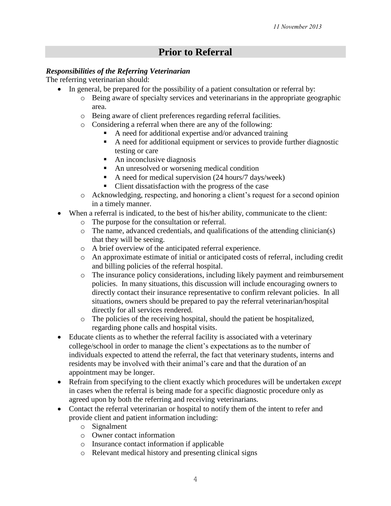# **Prior to Referral**

## *Responsibilities of the Referring Veterinarian*

The referring veterinarian should:

- In general, be prepared for the possibility of a patient consultation or referral by:
	- o Being aware of specialty services and veterinarians in the appropriate geographic area.
	- o Being aware of client preferences regarding referral facilities.
	- o Considering a referral when there are any of the following:
		- A need for additional expertise and/or advanced training
		- A need for additional equipment or services to provide further diagnostic testing or care
		- $\blacksquare$  An inconclusive diagnosis
		- An unresolved or worsening medical condition
		- A need for medical supervision (24 hours/7 days/week)
		- Client dissatisfaction with the progress of the case
	- o Acknowledging, respecting, and honoring a client's request for a second opinion in a timely manner.
- When a referral is indicated, to the best of his/her ability, communicate to the client:
	- o The purpose for the consultation or referral.
	- $\circ$  The name, advanced credentials, and qualifications of the attending clinician(s) that they will be seeing.
	- o A brief overview of the anticipated referral experience.
	- o An approximate estimate of initial or anticipated costs of referral, including credit and billing policies of the referral hospital.
	- o The insurance policy considerations, including likely payment and reimbursement policies. In many situations, this discussion will include encouraging owners to directly contact their insurance representative to confirm relevant policies. In all situations, owners should be prepared to pay the referral veterinarian/hospital directly for all services rendered.
	- o The policies of the receiving hospital, should the patient be hospitalized, regarding phone calls and hospital visits.
- Educate clients as to whether the referral facility is associated with a veterinary college/school in order to manage the client's expectations as to the number of individuals expected to attend the referral, the fact that veterinary students, interns and residents may be involved with their animal's care and that the duration of an appointment may be longer.
- Refrain from specifying to the client exactly which procedures will be undertaken *except* in cases when the referral is being made for a specific diagnostic procedure only as agreed upon by both the referring and receiving veterinarians.
- Contact the referral veterinarian or hospital to notify them of the intent to refer and provide client and patient information including:
	- o Signalment
	- o Owner contact information
	- o Insurance contact information if applicable
	- o Relevant medical history and presenting clinical signs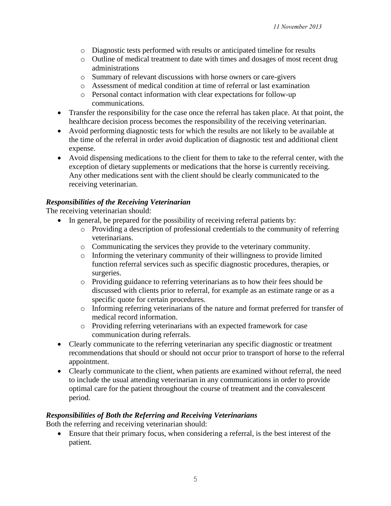- o Diagnostic tests performed with results or anticipated timeline for results
- o Outline of medical treatment to date with times and dosages of most recent drug administrations
- o Summary of relevant discussions with horse owners or care-givers
- o Assessment of medical condition at time of referral or last examination
- o Personal contact information with clear expectations for follow-up communications.
- Transfer the responsibility for the case once the referral has taken place. At that point, the healthcare decision process becomes the responsibility of the receiving veterinarian.
- Avoid performing diagnostic tests for which the results are not likely to be available at the time of the referral in order avoid duplication of diagnostic test and additional client expense.
- Avoid dispensing medications to the client for them to take to the referral center, with the exception of dietary supplements or medications that the horse is currently receiving. Any other medications sent with the client should be clearly communicated to the receiving veterinarian.

### *Responsibilities of the Receiving Veterinarian*

The receiving veterinarian should:

- In general, be prepared for the possibility of receiving referral patients by:
	- o Providing a description of professional credentials to the community of referring veterinarians.
	- o Communicating the services they provide to the veterinary community.
	- o Informing the veterinary community of their willingness to provide limited function referral services such as specific diagnostic procedures, therapies, or surgeries.
	- o Providing guidance to referring veterinarians as to how their fees should be discussed with clients prior to referral, for example as an estimate range or as a specific quote for certain procedures.
	- o Informing referring veterinarians of the nature and format preferred for transfer of medical record information.
	- o Providing referring veterinarians with an expected framework for case communication during referrals.
- Clearly communicate to the referring veterinarian any specific diagnostic or treatment recommendations that should or should not occur prior to transport of horse to the referral appointment.
- Clearly communicate to the client, when patients are examined without referral, the need to include the usual attending veterinarian in any communications in order to provide optimal care for the patient throughout the course of treatment and the convalescent period.

### *Responsibilities of Both the Referring and Receiving Veterinarians*

Both the referring and receiving veterinarian should:

 Ensure that their primary focus, when considering a referral, is the best interest of the patient.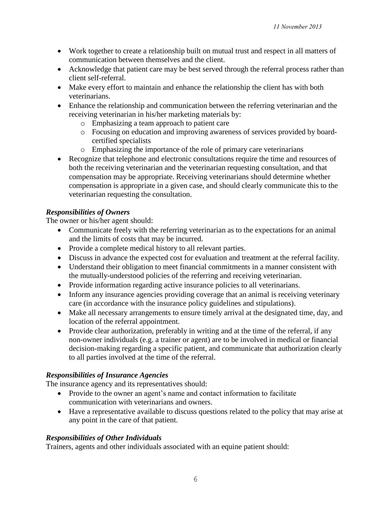- Work together to create a relationship built on mutual trust and respect in all matters of communication between themselves and the client.
- Acknowledge that patient care may be best served through the referral process rather than client self-referral.
- Make every effort to maintain and enhance the relationship the client has with both veterinarians.
- Enhance the relationship and communication between the referring veterinarian and the receiving veterinarian in his/her marketing materials by:
	- o Emphasizing a team approach to patient care
	- o Focusing on education and improving awareness of services provided by boardcertified specialists
	- o Emphasizing the importance of the role of primary care veterinarians
- Recognize that telephone and electronic consultations require the time and resources of both the receiving veterinarian and the veterinarian requesting consultation, and that compensation may be appropriate. Receiving veterinarians should determine whether compensation is appropriate in a given case, and should clearly communicate this to the veterinarian requesting the consultation.

## *Responsibilities of Owners*

The owner or his/her agent should:

- Communicate freely with the referring veterinarian as to the expectations for an animal and the limits of costs that may be incurred.
- Provide a complete medical history to all relevant parties.
- Discuss in advance the expected cost for evaluation and treatment at the referral facility.
- Understand their obligation to meet financial commitments in a manner consistent with the mutually-understood policies of the referring and receiving veterinarian.
- Provide information regarding active insurance policies to all veterinarians.
- Inform any insurance agencies providing coverage that an animal is receiving veterinary care (in accordance with the insurance policy guidelines and stipulations).
- Make all necessary arrangements to ensure timely arrival at the designated time, day, and location of the referral appointment.
- Provide clear authorization, preferably in writing and at the time of the referral, if any non-owner individuals (e.g. a trainer or agent) are to be involved in medical or financial decision-making regarding a specific patient, and communicate that authorization clearly to all parties involved at the time of the referral.

## *Responsibilities of Insurance Agencies*

The insurance agency and its representatives should:

- Provide to the owner an agent's name and contact information to facilitate communication with veterinarians and owners.
- Have a representative available to discuss questions related to the policy that may arise at any point in the care of that patient.

## *Responsibilities of Other Individuals*

Trainers, agents and other individuals associated with an equine patient should: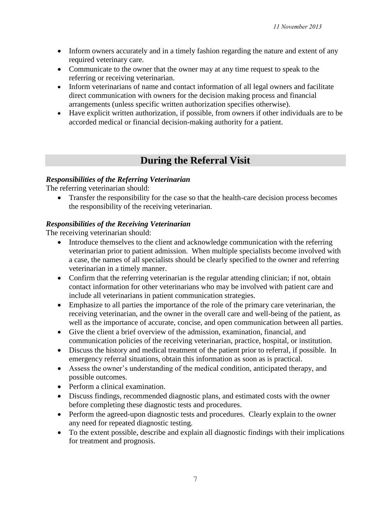- Inform owners accurately and in a timely fashion regarding the nature and extent of any required veterinary care.
- Communicate to the owner that the owner may at any time request to speak to the referring or receiving veterinarian.
- Inform veterinarians of name and contact information of all legal owners and facilitate direct communication with owners for the decision making process and financial arrangements (unless specific written authorization specifies otherwise).
- Have explicit written authorization, if possible, from owners if other individuals are to be accorded medical or financial decision-making authority for a patient.

# **During the Referral Visit**

### *Responsibilities of the Referring Veterinarian*

The referring veterinarian should:

 Transfer the responsibility for the case so that the health-care decision process becomes the responsibility of the receiving veterinarian.

### *Responsibilities of the Receiving Veterinarian*

The receiving veterinarian should:

- Introduce themselves to the client and acknowledge communication with the referring veterinarian prior to patient admission. When multiple specialists become involved with a case, the names of all specialists should be clearly specified to the owner and referring veterinarian in a timely manner.
- Confirm that the referring veterinarian is the regular attending clinician; if not, obtain contact information for other veterinarians who may be involved with patient care and include all veterinarians in patient communication strategies.
- Emphasize to all parties the importance of the role of the primary care veterinarian, the receiving veterinarian, and the owner in the overall care and well-being of the patient, as well as the importance of accurate, concise, and open communication between all parties.
- Give the client a brief overview of the admission, examination, financial, and communication policies of the receiving veterinarian, practice, hospital, or institution.
- Discuss the history and medical treatment of the patient prior to referral, if possible. In emergency referral situations, obtain this information as soon as is practical.
- Assess the owner's understanding of the medical condition, anticipated therapy, and possible outcomes.
- Perform a clinical examination.
- Discuss findings, recommended diagnostic plans, and estimated costs with the owner before completing these diagnostic tests and procedures.
- Perform the agreed-upon diagnostic tests and procedures. Clearly explain to the owner any need for repeated diagnostic testing.
- To the extent possible, describe and explain all diagnostic findings with their implications for treatment and prognosis.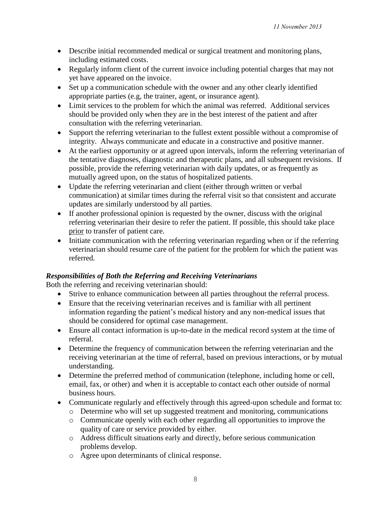- Describe initial recommended medical or surgical treatment and monitoring plans, including estimated costs.
- Regularly inform client of the current invoice including potential charges that may not yet have appeared on the invoice.
- Set up a communication schedule with the owner and any other clearly identified appropriate parties (e.g, the trainer, agent, or insurance agent).
- Limit services to the problem for which the animal was referred. Additional services should be provided only when they are in the best interest of the patient and after consultation with the referring veterinarian.
- Support the referring veterinarian to the fullest extent possible without a compromise of integrity. Always communicate and educate in a constructive and positive manner.
- At the earliest opportunity or at agreed upon intervals, inform the referring veterinarian of the tentative diagnoses, diagnostic and therapeutic plans, and all subsequent revisions. If possible, provide the referring veterinarian with daily updates, or as frequently as mutually agreed upon, on the status of hospitalized patients.
- Update the referring veterinarian and client (either through written or verbal communication) at similar times during the referral visit so that consistent and accurate updates are similarly understood by all parties.
- If another professional opinion is requested by the owner, discuss with the original referring veterinarian their desire to refer the patient. If possible, this should take place prior to transfer of patient care.
- Initiate communication with the referring veterinarian regarding when or if the referring veterinarian should resume care of the patient for the problem for which the patient was referred.

### *Responsibilities of Both the Referring and Receiving Veterinarians*

Both the referring and receiving veterinarian should:

- Strive to enhance communication between all parties throughout the referral process.
- Ensure that the receiving veterinarian receives and is familiar with all pertinent information regarding the patient's medical history and any non-medical issues that should be considered for optimal case management.
- Ensure all contact information is up-to-date in the medical record system at the time of referral.
- Determine the frequency of communication between the referring veterinarian and the receiving veterinarian at the time of referral, based on previous interactions, or by mutual understanding.
- Determine the preferred method of communication (telephone, including home or cell, email, fax, or other) and when it is acceptable to contact each other outside of normal business hours.
- Communicate regularly and effectively through this agreed-upon schedule and format to:
	- o Determine who will set up suggested treatment and monitoring, communications
	- o Communicate openly with each other regarding all opportunities to improve the quality of care or service provided by either.
	- o Address difficult situations early and directly, before serious communication problems develop.
	- o Agree upon determinants of clinical response.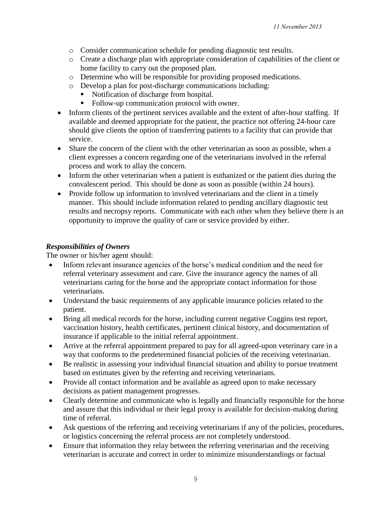- o Consider communication schedule for pending diagnostic test results.
- o Create a discharge plan with appropriate consideration of capabilities of the client or home facility to carry out the proposed plan.
- o Determine who will be responsible for providing proposed medications.
- o Develop a plan for post-discharge communications including:
	- Notification of discharge from hospital.
	- Follow-up communication protocol with owner.
- Inform clients of the pertinent services available and the extent of after-hour staffing. If available and deemed appropriate for the patient, the practice not offering 24-hour care should give clients the option of transferring patients to a facility that can provide that service.
- Share the concern of the client with the other veterinarian as soon as possible, when a client expresses a concern regarding one of the veterinarians involved in the referral process and work to allay the concern.
- Inform the other veterinarian when a patient is euthanized or the patient dies during the convalescent period. This should be done as soon as possible (within 24 hours).
- Provide follow up information to involved veterinarians and the client in a timely manner. This should include information related to pending ancillary diagnostic test results and necropsy reports. Communicate with each other when they believe there is an opportunity to improve the quality of care or service provided by either.

## *Responsibilities of Owners*

The owner or his/her agent should:

- Inform relevant insurance agencies of the horse's medical condition and the need for referral veterinary assessment and care. Give the insurance agency the names of all veterinarians caring for the horse and the appropriate contact information for those veterinarians.
- Understand the basic requirements of any applicable insurance policies related to the patient.
- Bring all medical records for the horse, including current negative Coggins test report, vaccination history, health certificates, pertinent clinical history, and documentation of insurance if applicable to the initial referral appointment.
- Arrive at the referral appointment prepared to pay for all agreed-upon veterinary care in a way that conforms to the predetermined financial policies of the receiving veterinarian.
- Be realistic in assessing your individual financial situation and ability to pursue treatment based on estimates given by the referring and receiving veterinarians.
- Provide all contact information and be available as agreed upon to make necessary decisions as patient management progresses.
- Clearly determine and communicate who is legally and financially responsible for the horse and assure that this individual or their legal proxy is available for decision-making during time of referral.
- Ask questions of the referring and receiving veterinarians if any of the policies, procedures, or logistics concerning the referral process are not completely understood.
- Ensure that information they relay between the referring veterinarian and the receiving veterinarian is accurate and correct in order to minimize misunderstandings or factual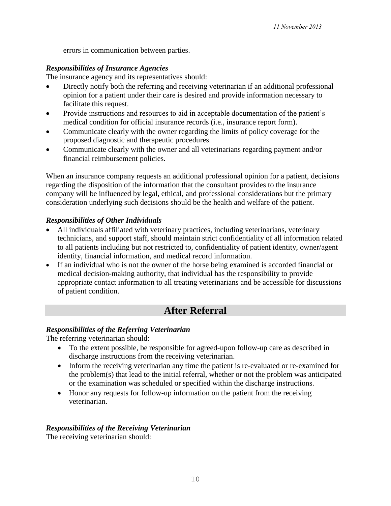errors in communication between parties.

## *Responsibilities of Insurance Agencies*

The insurance agency and its representatives should:

- Directly notify both the referring and receiving veterinarian if an additional professional opinion for a patient under their care is desired and provide information necessary to facilitate this request.
- Provide instructions and resources to aid in acceptable documentation of the patient's medical condition for official insurance records (i.e., insurance report form).
- Communicate clearly with the owner regarding the limits of policy coverage for the proposed diagnostic and therapeutic procedures.
- Communicate clearly with the owner and all veterinarians regarding payment and/or financial reimbursement policies.

When an insurance company requests an additional professional opinion for a patient, decisions regarding the disposition of the information that the consultant provides to the insurance company will be influenced by legal, ethical, and professional considerations but the primary consideration underlying such decisions should be the health and welfare of the patient.

## *Responsibilities of Other Individuals*

- All individuals affiliated with veterinary practices, including veterinarians, veterinary technicians, and support staff, should maintain strict confidentiality of all information related to all patients including but not restricted to, confidentiality of patient identity, owner/agent identity, financial information, and medical record information.
- If an individual who is not the owner of the horse being examined is accorded financial or medical decision-making authority, that individual has the responsibility to provide appropriate contact information to all treating veterinarians and be accessible for discussions of patient condition.

# **After Referral**

## *Responsibilities of the Referring Veterinarian*

The referring veterinarian should:

- To the extent possible, be responsible for agreed-upon follow-up care as described in discharge instructions from the receiving veterinarian.
- Inform the receiving veterinarian any time the patient is re-evaluated or re-examined for the problem(s) that lead to the initial referral, whether or not the problem was anticipated or the examination was scheduled or specified within the discharge instructions.
- Honor any requests for follow-up information on the patient from the receiving veterinarian.

### *Responsibilities of the Receiving Veterinarian*

The receiving veterinarian should: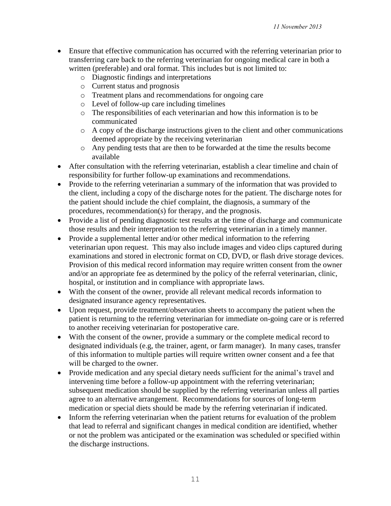- Ensure that effective communication has occurred with the referring veterinarian prior to transferring care back to the referring veterinarian for ongoing medical care in both a written (preferable) and oral format. This includes but is not limited to:
	- o Diagnostic findings and interpretations
	- o Current status and prognosis
	- o Treatment plans and recommendations for ongoing care
	- o Level of follow-up care including timelines
	- o The responsibilities of each veterinarian and how this information is to be communicated
	- $\circ$  A copy of the discharge instructions given to the client and other communications deemed appropriate by the receiving veterinarian
	- o Any pending tests that are then to be forwarded at the time the results become available
- After consultation with the referring veterinarian, establish a clear timeline and chain of responsibility for further follow-up examinations and recommendations.
- Provide to the referring veterinarian a summary of the information that was provided to the client, including a copy of the discharge notes for the patient. The discharge notes for the patient should include the chief complaint, the diagnosis, a summary of the procedures, recommendation(s) for therapy, and the prognosis.
- Provide a list of pending diagnostic test results at the time of discharge and communicate those results and their interpretation to the referring veterinarian in a timely manner.
- Provide a supplemental letter and/or other medical information to the referring veterinarian upon request. This may also include images and video clips captured during examinations and stored in electronic format on CD, DVD, or flash drive storage devices. Provision of this medical record information may require written consent from the owner and/or an appropriate fee as determined by the policy of the referral veterinarian, clinic, hospital, or institution and in compliance with appropriate laws.
- With the consent of the owner, provide all relevant medical records information to designated insurance agency representatives.
- Upon request, provide treatment/observation sheets to accompany the patient when the patient is returning to the referring veterinarian for immediate on-going care or is referred to another receiving veterinarian for postoperative care.
- With the consent of the owner, provide a summary or the complete medical record to designated individuals (e.g, the trainer, agent, or farm manager). In many cases, transfer of this information to multiple parties will require written owner consent and a fee that will be charged to the owner.
- Provide medication and any special dietary needs sufficient for the animal's travel and intervening time before a follow-up appointment with the referring veterinarian; subsequent medication should be supplied by the referring veterinarian unless all parties agree to an alternative arrangement. Recommendations for sources of long-term medication or special diets should be made by the referring veterinarian if indicated.
- Inform the referring veterinarian when the patient returns for evaluation of the problem that lead to referral and significant changes in medical condition are identified, whether or not the problem was anticipated or the examination was scheduled or specified within the discharge instructions.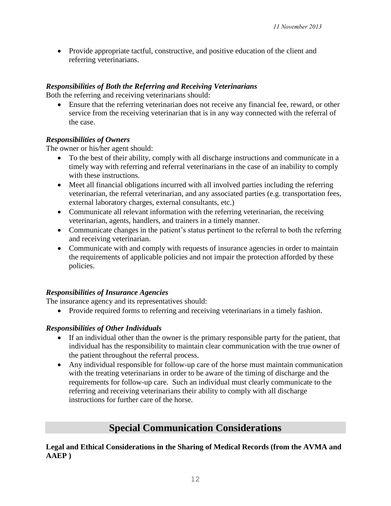Provide appropriate tactful, constructive, and positive education of the client and referring veterinarians.

## *Responsibilities of Both the Referring and Receiving Veterinarians*

Both the referring and receiving veterinarians should:

 Ensure that the referring veterinarian does not receive any financial fee, reward, or other service from the receiving veterinarian that is in any way connected with the referral of the case.

### *Responsibilities of Owners*

The owner or his/her agent should:

- To the best of their ability, comply with all discharge instructions and communicate in a timely way with referring and referral veterinarians in the case of an inability to comply with these instructions.
- Meet all financial obligations incurred with all involved parties including the referring veterinarian, the referral veterinarian, and any associated parties (e.g. transportation fees, external laboratory charges, external consultants, etc.)
- Communicate all relevant information with the referring veterinarian, the receiving veterinarian, agents, handlers, and trainers in a timely manner.
- Communicate changes in the patient's status pertinent to the referral to both the referring and receiving veterinarian.
- Communicate with and comply with requests of insurance agencies in order to maintain the requirements of applicable policies and not impair the protection afforded by these policies.

### *Responsibilities of Insurance Agencies*

The insurance agency and its representatives should:

• Provide required forms to referring and receiving veterinarians in a timely fashion.

### *Responsibilities of Other Individuals*

- If an individual other than the owner is the primary responsible party for the patient, that individual has the responsibility to maintain clear communication with the true owner of the patient throughout the referral process.
- Any individual responsible for follow-up care of the horse must maintain communication with the treating veterinarians in order to be aware of the timing of discharge and the requirements for follow-up care. Such an individual must clearly communicate to the referring and receiving veterinarians their ability to comply with all discharge instructions for further care of the horse.

# **Special Communication Considerations**

**Legal and Ethical Considerations in the Sharing of Medical Records (from the AVMA and AAEP )**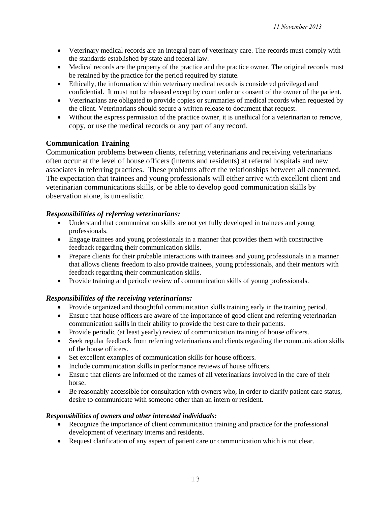- Veterinary medical records are an integral part of veterinary care. The records must comply with the standards established by state and federal law.
- Medical records are the property of the practice and the practice owner. The original records must be retained by the practice for the period required by statute.
- Ethically, the information within veterinary medical records is considered privileged and confidential. It must not be released except by court order or consent of the owner of the patient.
- Veterinarians are obligated to provide copies or summaries of medical records when requested by the client. Veterinarians should secure a written release to document that request.
- Without the express permission of the practice owner, it is unethical for a veterinarian to remove, copy, or use the medical records or any part of any record.

### **Communication Training**

Communication problems between clients, referring veterinarians and receiving veterinarians often occur at the level of house officers (interns and residents) at referral hospitals and new associates in referring practices. These problems affect the relationships between all concerned. The expectation that trainees and young professionals will either arrive with excellent client and veterinarian communications skills, or be able to develop good communication skills by observation alone, is unrealistic.

### *Responsibilities of referring veterinarians:*

- Understand that communication skills are not yet fully developed in trainees and young professionals.
- Engage trainees and young professionals in a manner that provides them with constructive feedback regarding their communication skills.
- Prepare clients for their probable interactions with trainees and young professionals in a manner that allows clients freedom to also provide trainees, young professionals, and their mentors with feedback regarding their communication skills.
- Provide training and periodic review of communication skills of young professionals.

### *Responsibilities of the receiving veterinarians:*

- Provide organized and thoughtful communication skills training early in the training period.
- Ensure that house officers are aware of the importance of good client and referring veterinarian communication skills in their ability to provide the best care to their patients.
- Provide periodic (at least yearly) review of communication training of house officers.
- Seek regular feedback from referring veterinarians and clients regarding the communication skills of the house officers.
- Set excellent examples of communication skills for house officers.
- Include communication skills in performance reviews of house officers.
- Ensure that clients are informed of the names of all veterinarians involved in the care of their horse.
- Be reasonably accessible for consultation with owners who, in order to clarify patient care status, desire to communicate with someone other than an intern or resident.

### *Responsibilities of owners and other interested individuals:*

- Recognize the importance of client communication training and practice for the professional development of veterinary interns and residents.
- Request clarification of any aspect of patient care or communication which is not clear.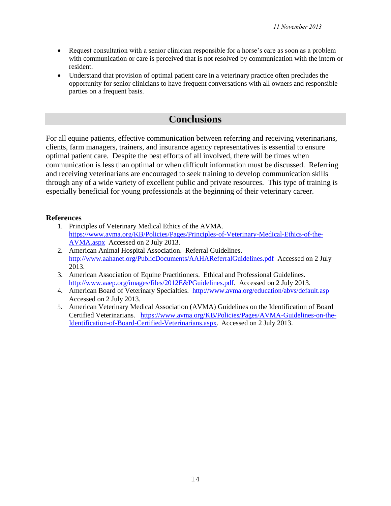- Request consultation with a senior clinician responsible for a horse's care as soon as a problem with communication or care is perceived that is not resolved by communication with the intern or resident.
- Understand that provision of optimal patient care in a veterinary practice often precludes the opportunity for senior clinicians to have frequent conversations with all owners and responsible parties on a frequent basis.

## **Conclusions**

For all equine patients, effective communication between referring and receiving veterinarians, clients, farm managers, trainers, and insurance agency representatives is essential to ensure optimal patient care. Despite the best efforts of all involved, there will be times when communication is less than optimal or when difficult information must be discussed. Referring and receiving veterinarians are encouraged to seek training to develop communication skills through any of a wide variety of excellent public and private resources. This type of training is especially beneficial for young professionals at the beginning of their veterinary career.

### **References**

- 1. Principles of Veterinary Medical Ethics of the AVMA. [https://www.avma.org/KB/Policies/Pages/Principles-of-Veterinary-Medical-Ethics-of-the-](https://www.avma.org/KB/Policies/Pages/Principles-of-Veterinary-Medical-Ethics-of-the-AVMA.aspx)[AVMA.aspx](https://www.avma.org/KB/Policies/Pages/Principles-of-Veterinary-Medical-Ethics-of-the-AVMA.aspx) Accessed on 2 July 2013.
- 2. American Animal Hospital Association. Referral Guidelines. <http://www.aahanet.org/PublicDocuments/AAHAReferralGuidelines.pdf>Accessed on 2 July 2013.
- 3. American Association of Equine Practitioners. Ethical and Professional Guidelines. [http://www.aaep.org/images/files/2012E&PGuidelines.pdf.](http://www.aaep.org/images/files/2012E&PGuidelines.pdf) Accessed on 2 July 2013.
- 4. American Board of Veterinary Specialties. http://www.avma.org/education/abvs/default.asp Accessed on 2 July 2013.
- 5. American Veterinary Medical Association (AVMA) Guidelines on the Identification of Board Certified Veterinarians. [https://www.avma.org/KB/Policies/Pages/AVMA-Guidelines-on-the-](https://www.avma.org/KB/Policies/Pages/AVMA-Guidelines-on-the-Identification-of-Board-Certified-Veterinarians.aspx)[Identification-of-Board-Certified-Veterinarians.aspx](https://www.avma.org/KB/Policies/Pages/AVMA-Guidelines-on-the-Identification-of-Board-Certified-Veterinarians.aspx). Accessed on 2 July 2013.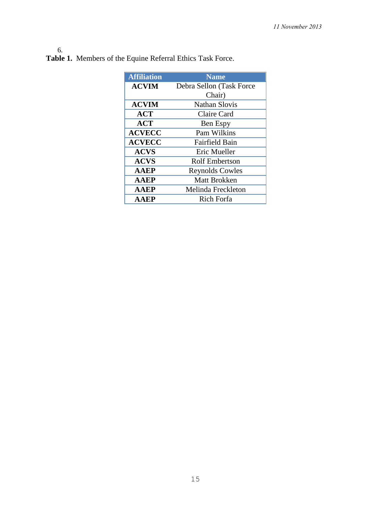#### 6.

| <b>Affiliation</b> | <b>Name</b>              |
|--------------------|--------------------------|
| <b>ACVIM</b>       | Debra Sellon (Task Force |
|                    | Chair)                   |
| <b>ACVIM</b>       | <b>Nathan Slovis</b>     |
| <b>ACT</b>         | Claire Card              |
| <b>ACT</b>         | Ben Espy                 |
| <b>ACVECC</b>      | Pam Wilkins              |
| <b>ACVECC</b>      | <b>Fairfield Bain</b>    |
| <b>ACVS</b>        | Eric Mueller             |
| <b>ACVS</b>        | <b>Rolf Embertson</b>    |
| <b>AAEP</b>        | <b>Reynolds Cowles</b>   |
| <b>AAEP</b>        | <b>Matt Brokken</b>      |
| <b>AAEP</b>        | Melinda Freckleton       |
| <b>AAEP</b>        | <b>Rich Forfa</b>        |

**Table 1.** Members of the Equine Referral Ethics Task Force.